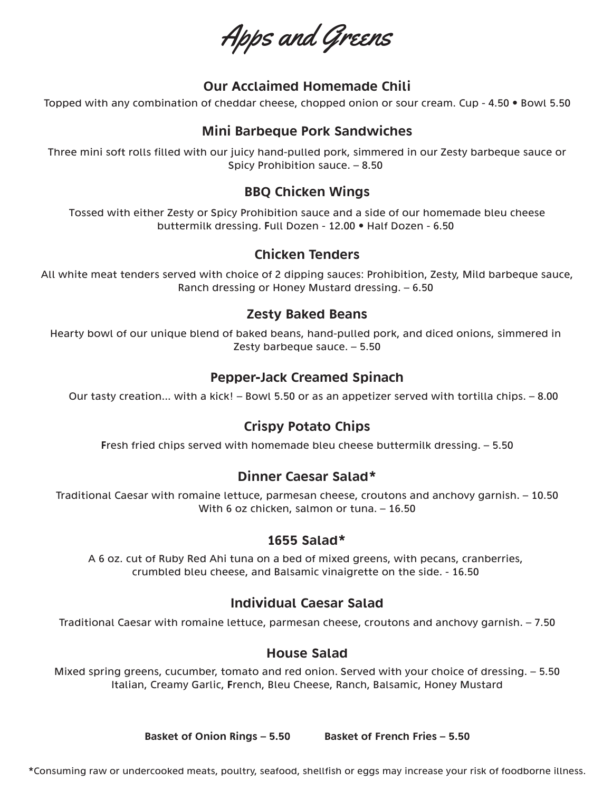Apps and Greens

### Our Acclaimed Homemade Chili

Topped with any combination of cheddar cheese, chopped onion or sour cream. Cup - 4.50 • Bowl 5.50

### Mini Barbeque Pork Sandwiches

Three mini soft rolls filled with our juicy hand-pulled pork, simmered in our Zesty barbeque sauce or Spicy Prohibition sauce. – 8.50

### BBQ Chicken Wings

Tossed with either Zesty or Spicy Prohibition sauce and a side of our homemade bleu cheese buttermilk dressing. Full Dozen - 12.00 • Half Dozen - 6.50

### Chicken Tenders

All white meat tenders served with choice of 2 dipping sauces: Prohibition, Zesty, Mild barbeque sauce, Ranch dressing or Honey Mustard dressing. – 6.50

#### Zesty Baked Beans

Hearty bowl of our unique blend of baked beans, hand-pulled pork, and diced onions, simmered in Zesty barbeque sauce. – 5.50

#### Pepper-Jack Creamed Spinach

Our tasty creation... with a kick! – Bowl 5.50 or as an appetizer served with tortilla chips. – 8.00

### Crispy Potato Chips

Fresh fried chips served with homemade bleu cheese buttermilk dressing. – 5.50

#### Dinner Caesar Salad\*

Traditional Caesar with romaine lettuce, parmesan cheese, croutons and anchovy garnish. – 10.50 With 6 oz chicken, salmon or tuna. – 16.50

#### 1655 Salad\*

A 6 oz. cut of Ruby Red Ahi tuna on a bed of mixed greens, with pecans, cranberries, crumbled bleu cheese, and Balsamic vinaigrette on the side. - 16.50

#### Individual Caesar Salad

Traditional Caesar with romaine lettuce, parmesan cheese, croutons and anchovy garnish. – 7.50

#### House Salad

Mixed spring greens, cucumber, tomato and red onion. Served with your choice of dressing. – 5.50 Italian, Creamy Garlic, French, Bleu Cheese, Ranch, Balsamic, Honey Mustard

Basket of Onion Rings – 5.50 Basket of French Fries – 5.50

\*Consuming raw or undercooked meats, poultry, seafood, shellfish or eggs may increase your risk of foodborne illness.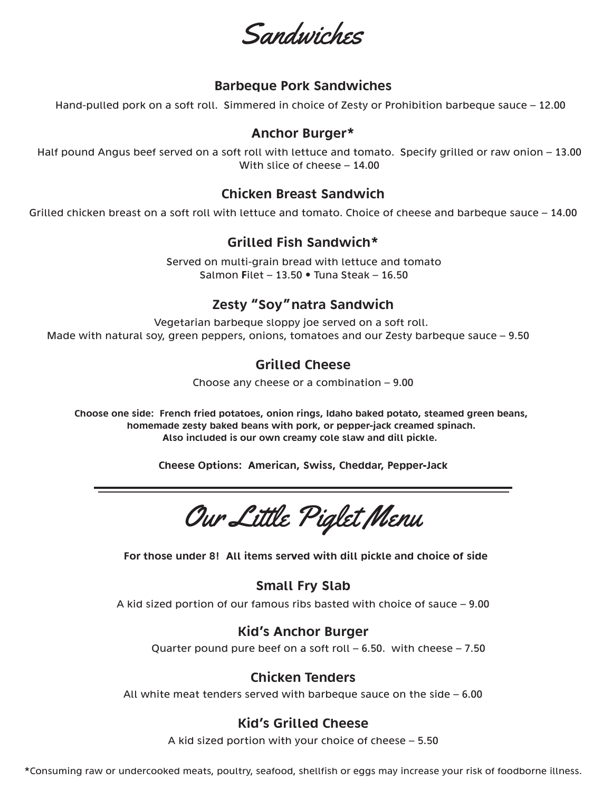Sandwiches

#### Barbeque Pork Sandwiches

Hand-pulled pork on a soft roll. Simmered in choice of Zesty or Prohibition barbeque sauce – 12.00

#### Anchor Burger\*

Half pound Angus beef served on a soft roll with lettuce and tomato. Specify grilled or raw onion – 13.00 With slice of cheese – 14.00

#### Chicken Breast Sandwich

Grilled chicken breast on a soft roll with lettuce and tomato. Choice of cheese and barbeque sauce – 14.00

### Grilled Fish Sandwich\*

Served on multi-grain bread with lettuce and tomato Salmon Filet – 13.50 • Tuna Steak – 16.50

## Zesty "Soy"natra Sandwich

Vegetarian barbeque sloppy joe served on a soft roll. Made with natural soy, green peppers, onions, tomatoes and our Zesty barbeque sauce – 9.50

#### Grilled Cheese

Choose any cheese or a combination – 9.00

Choose one side: French fried potatoes, onion rings, Idaho baked potato, steamed green beans, homemade zesty baked beans with pork, or pepper-jack creamed spinach. Also included is our own creamy cole slaw and dill pickle.

Cheese Options: American, Swiss, Cheddar, Pepper-Jack

Our Little Piglet Menu

For those under 8! All items served with dill pickle and choice of side

#### Small Fry Slab

A kid sized portion of our famous ribs basted with choice of sauce – 9.00

#### Kid's Anchor Burger

Quarter pound pure beef on a soft roll – 6.50. with cheese – 7.50

## Chicken Tenders

All white meat tenders served with barbeque sauce on the side – 6.00

## Kid's Grilled Cheese

A kid sized portion with your choice of cheese – 5.50

\*Consuming raw or undercooked meats, poultry, seafood, shellfish or eggs may increase your risk of foodborne illness.